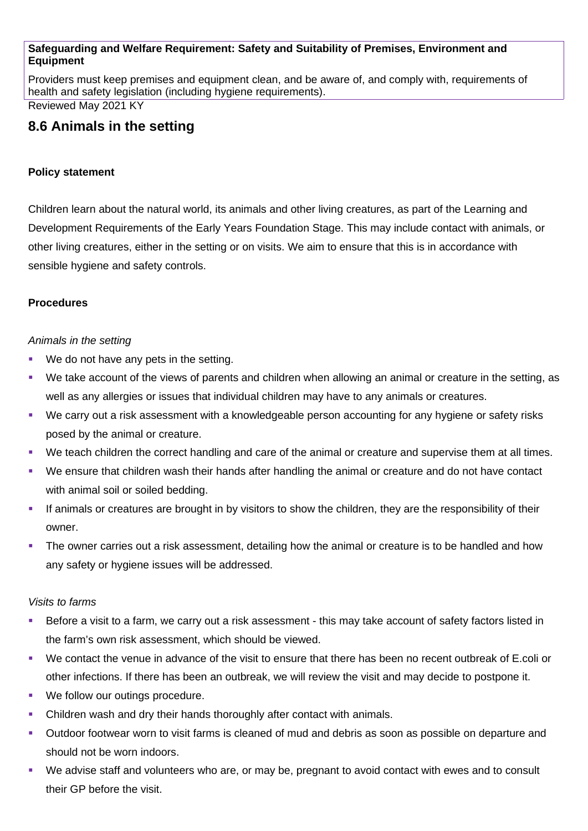#### **Safeguarding and Welfare Requirement: Safety and Suitability of Premises, Environment and Equipment**

Providers must keep premises and equipment clean, and be aware of, and comply with, requirements of health and safety legislation (including hygiene requirements).

Reviewed May 2021 KY

# **8.6 Animals in the setting**

#### **Policy statement**

Children learn about the natural world, its animals and other living creatures, as part of the Learning and Development Requirements of the Early Years Foundation Stage. This may include contact with animals, or other living creatures, either in the setting or on visits. We aim to ensure that this is in accordance with sensible hygiene and safety controls.

### **Procedures**

### *Animals in the setting*

- We do not have any pets in the setting.
- We take account of the views of parents and children when allowing an animal or creature in the setting, as well as any allergies or issues that individual children may have to any animals or creatures.
- We carry out a risk assessment with a knowledgeable person accounting for any hygiene or safety risks posed by the animal or creature.
- We teach children the correct handling and care of the animal or creature and supervise them at all times.
- We ensure that children wash their hands after handling the animal or creature and do not have contact with animal soil or soiled bedding.
- If animals or creatures are brought in by visitors to show the children, they are the responsibility of their owner.
- The owner carries out a risk assessment, detailing how the animal or creature is to be handled and how any safety or hygiene issues will be addressed.

#### *Visits to farms*

- Before a visit to a farm, we carry out a risk assessment this may take account of safety factors listed in the farm's own risk assessment, which should be viewed.
- We contact the venue in advance of the visit to ensure that there has been no recent outbreak of E.coli or other infections. If there has been an outbreak, we will review the visit and may decide to postpone it.
- We follow our outings procedure.
- Children wash and dry their hands thoroughly after contact with animals.
- Outdoor footwear worn to visit farms is cleaned of mud and debris as soon as possible on departure and should not be worn indoors.
- We advise staff and volunteers who are, or may be, pregnant to avoid contact with ewes and to consult their GP before the visit.